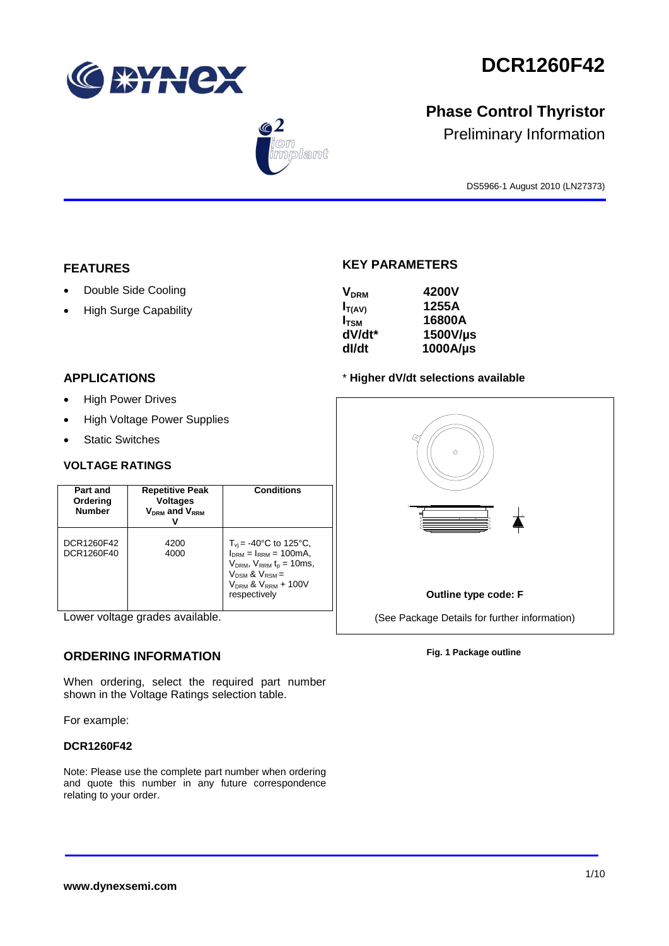

 $\bigcirc$  2

nplant

# **DCR1260F42**

# **Phase Control Thyristor**

Preliminary Information

DS5966-1 August 2010 (LN27373)

### **FEATURES**

- Double Side Cooling
- High Surge Capability

### **APPLICATIONS**

- High Power Drives
- High Voltage Power Supplies
- Static Switches

#### **VOLTAGE RATINGS**

| Part and<br>Ordering<br><b>Number</b> | <b>Repetitive Peak</b><br><b>Voltages</b><br>$V_{DRM}$ and $V_{RRM}$ | Conditions                                                                                                                                                                                |
|---------------------------------------|----------------------------------------------------------------------|-------------------------------------------------------------------------------------------------------------------------------------------------------------------------------------------|
| DCR1260F42<br>DCR1260F40              | 4200<br>4000                                                         | $T_{\rm vi}$ = -40°C to 125°C,<br>$I_{DRM} = I_{RRM} = 100 \text{mA}$<br>$V_{DRM}$ , $V_{RRM}$ $t_{p}$ = 10ms,<br>$V_{DSM}$ & $V_{RSM}$ =<br>$V_{DRM}$ & $V_{RRM}$ + 100V<br>respectively |

Lower voltage grades available.

### **ORDERING INFORMATION**

When ordering, select the required part number shown in the Voltage Ratings selection table.

For example:

#### **DCR1260F42**

Note: Please use the complete part number when ordering and quote this number in any future correspondence relating to your order.

### **KEY PARAMETERS**

| <b>V<sub>DRM</sub></b> | 4200V    |
|------------------------|----------|
| $I_{T(AV)}$            | 1255A    |
| I <sub>tsm</sub>       | 16800A   |
| dV/dt*                 | 1500V/µs |
| dl/dt                  | 1000A/µs |

#### \* **Higher dV/dt selections available**



#### **Fig. 1 Package outline**

#### **www.dynexsemi.com**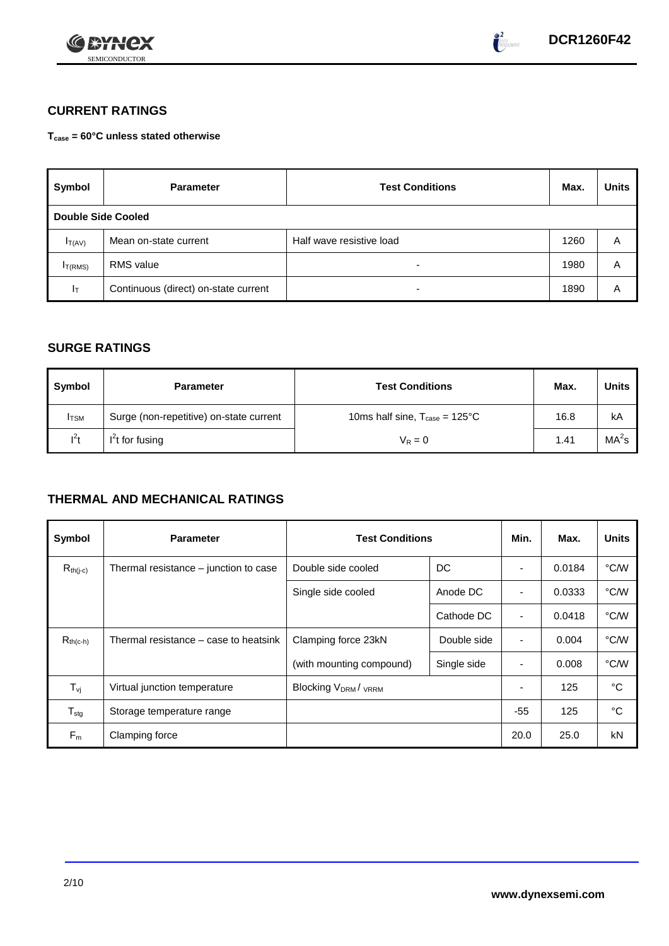



### **CURRENT RATINGS**

**Tcase = 60°C unless stated otherwise**

| Symbol                    | <b>Parameter</b>                     | <b>Test Conditions</b>   | Max. | <b>Units</b> |
|---------------------------|--------------------------------------|--------------------------|------|--------------|
| <b>Double Side Cooled</b> |                                      |                          |      |              |
| $I_{T(AV)}$               | Mean on-state current                | Half wave resistive load | 1260 | Α            |
| I <sub>T(RMS)</sub>       | <b>RMS</b> value                     | -                        | 1980 | Α            |
| $I_{\text{T}}$            | Continuous (direct) on-state current | -                        | 1890 | Α            |

### **SURGE RATINGS**

| Symbol       | <b>Parameter</b>                        | <b>Test Conditions</b>                           | Max. | <b>Units</b>      |
|--------------|-----------------------------------------|--------------------------------------------------|------|-------------------|
| <b>I</b> TSM | Surge (non-repetitive) on-state current | 10ms half sine, $T_{\text{case}} = 125^{\circ}C$ | 16.8 | kA                |
| $l^2t$       | $I2t$ for fusing                        | $V_R = 0$                                        | 1.41 | MA <sup>2</sup> s |

### **THERMAL AND MECHANICAL RATINGS**

| Symbol           | <b>Parameter</b>                      | <b>Test Conditions</b>                | Min.        | Max.                     | <b>Units</b> |      |
|------------------|---------------------------------------|---------------------------------------|-------------|--------------------------|--------------|------|
| $R_{th(j-c)}$    | Thermal resistance – junction to case | Double side cooled                    | DC          |                          | 0.0184       | °C/W |
|                  |                                       | Single side cooled                    | Anode DC    |                          | 0.0333       | °C/W |
|                  |                                       |                                       | Cathode DC  | $\overline{\phantom{a}}$ | 0.0418       | °C/W |
| $R_{th(c-h)}$    | Thermal resistance – case to heatsink | Clamping force 23kN                   | Double side | $\blacksquare$           | 0.004        | °C/W |
|                  |                                       | (with mounting compound)              | Single side |                          | 0.008        | °C/W |
| $T_{\rm vj}$     | Virtual junction temperature          | <b>Blocking V<sub>DRM</sub>/ VRRM</b> |             |                          | 125          | °C   |
| $T_{\text{stg}}$ | Storage temperature range             |                                       |             | $-55$                    | 125          | °C   |
| $F_m$            | Clamping force                        |                                       |             | 20.0                     | 25.0         | kN   |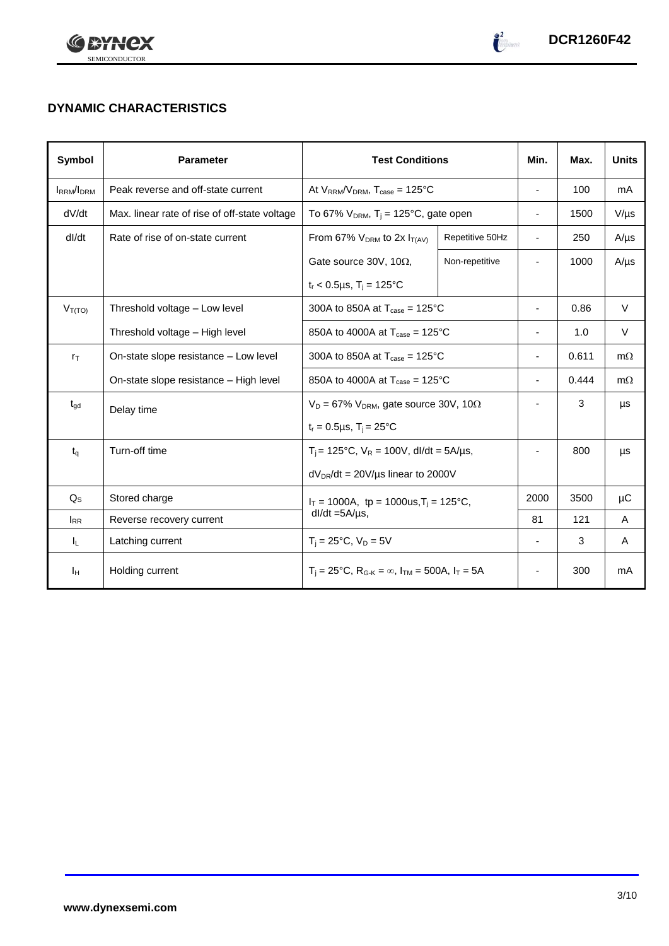



## **DYNAMIC CHARACTERISTICS**

| Symbol            | <b>Parameter</b>                              | <b>Test Conditions</b>                                                  | Min.                                         | Max.                     | <b>Units</b> |           |
|-------------------|-----------------------------------------------|-------------------------------------------------------------------------|----------------------------------------------|--------------------------|--------------|-----------|
| <b>IRRM</b> /IDRM | Peak reverse and off-state current            | At $V_{RRM}/V_{DRM}$ , $T_{case} = 125^{\circ}C$                        | $\overline{\phantom{a}}$                     | 100                      | mA           |           |
| dV/dt             | Max. linear rate of rise of off-state voltage | To 67% $V_{DRM}$ , T <sub>j</sub> = 125°C, gate open                    |                                              | $\overline{\phantom{a}}$ | 1500         | $V/\mu s$ |
| dl/dt             | Rate of rise of on-state current              | From 67% $V_{DRM}$ to 2x $I_{T(AV)}$                                    | Repetitive 50Hz                              | $\overline{\phantom{a}}$ | 250          | $A/\mu s$ |
|                   |                                               | Gate source 30V, 10 $\Omega$ ,                                          | Non-repetitive                               |                          | 1000         | $A/\mu s$ |
|                   |                                               | $t_r < 0.5 \mu s$ , T <sub>i</sub> = 125°C                              |                                              |                          |              |           |
| $V_{T(TO)}$       | Threshold voltage - Low level                 | 300A to 850A at $T_{\text{case}} = 125^{\circ}$ C                       |                                              | $\overline{\phantom{a}}$ | 0.86         | $\vee$    |
|                   | Threshold voltage - High level                | 850A to 4000A at $T_{\text{case}} = 125^{\circ}$ C                      |                                              | $\overline{\phantom{a}}$ | 1.0          | $\vee$    |
| $r_{\text{T}}$    | On-state slope resistance - Low level         | 300A to 850A at $T_{\text{case}} = 125^{\circ}$ C                       |                                              |                          | 0.611        | $m\Omega$ |
|                   | On-state slope resistance - High level        | 850A to 4000A at $T_{\text{case}} = 125^{\circ}$ C                      |                                              | $\overline{\phantom{a}}$ | 0.444        | $m\Omega$ |
| $t_{\text{gd}}$   | Delay time                                    | $V_D = 67\%$ V <sub>DRM</sub> , gate source 30V, 10 $\Omega$            |                                              | ٠                        | 3            | μs        |
|                   |                                               | $t_r = 0.5 \mu s$ , $T_i = 25$ °C                                       |                                              |                          |              |           |
| $t_q$             | Turn-off time                                 | $T_i$ = 125°C, $V_R$ = 100V, dl/dt = 5A/µs,                             |                                              | ٠                        | 800          | μs        |
|                   |                                               |                                                                         | $dV_{DR}/dt = 20V/\mu s$ linear to 2000V     |                          |              |           |
| $Q_{\rm S}$       | Stored charge                                 |                                                                         | $I_T = 1000A$ , tp = 1000us, $T_i = 125$ °C, |                          | 3500         | μC        |
| <b>IRR</b>        | Reverse recovery current                      | $dl/dt = 5A/\mu s$ ,                                                    |                                              | 81                       | 121          | A         |
| ΙL.               | Latching current                              | $T_i = 25^{\circ}C$ , $V_D = 5V$                                        |                                              | $\overline{\phantom{a}}$ | 3            | A         |
| Īн                | Holding current                               | $T_i = 25^{\circ}C$ , $R_{G-K} = \infty$ , $I_{TM} = 500A$ , $I_T = 5A$ |                                              | ٠                        | 300          | mA        |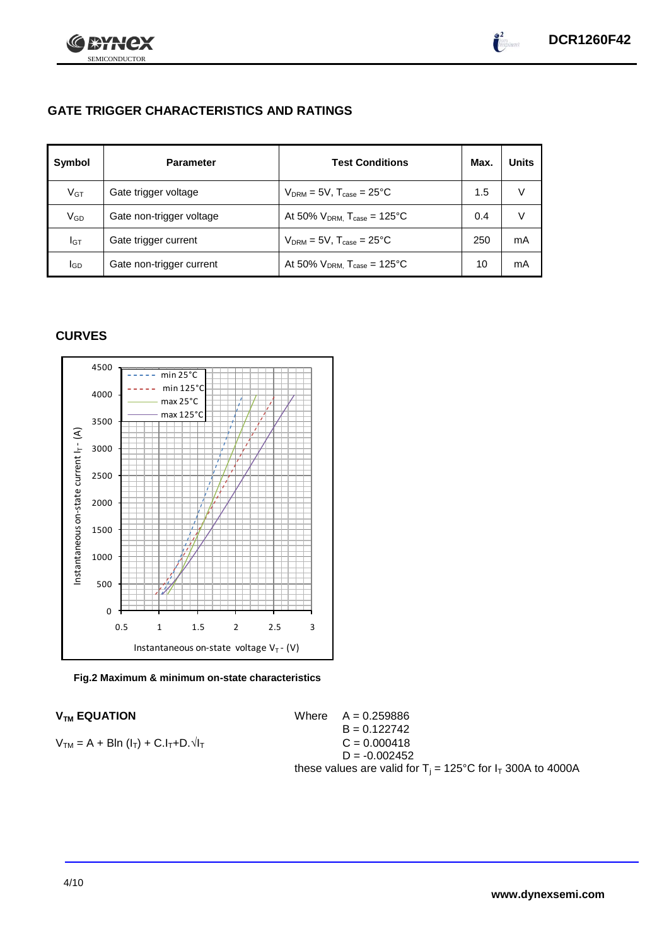

### **GATE TRIGGER CHARACTERISTICS AND RATINGS**

| Symbol          | <b>Parameter</b>         | <b>Test Conditions</b>                       | Max. | <b>Units</b> |
|-----------------|--------------------------|----------------------------------------------|------|--------------|
| V <sub>GT</sub> | Gate trigger voltage     | $V_{DRM} = 5V$ , $T_{case} = 25^{\circ}C$    | 1.5  |              |
| $\rm V_{GD}$    | Gate non-trigger voltage | At 50% $V_{DRM}$ , $T_{case} = 125^{\circ}C$ | 0.4  |              |
| Iст             | Gate trigger current     | $V_{DRM} = 5V$ , $T_{case} = 25^{\circ}C$    | 250  | mA           |
| lgp             | Gate non-trigger current | At 50% $V_{DRM}$ , $T_{case} = 125$ °C       | 10   | mA           |

### **CURVES**





 $V_{TM}$  **EQUATION** Where  $A = 0.259886$  $B = 0.122742$  $V_{TM} = A + Bln (l_T) + C.l_T + D.1$  $D = -0.002452$ these values are valid for  $T_i = 125^{\circ}C$  for  $I_T$  300A to 4000A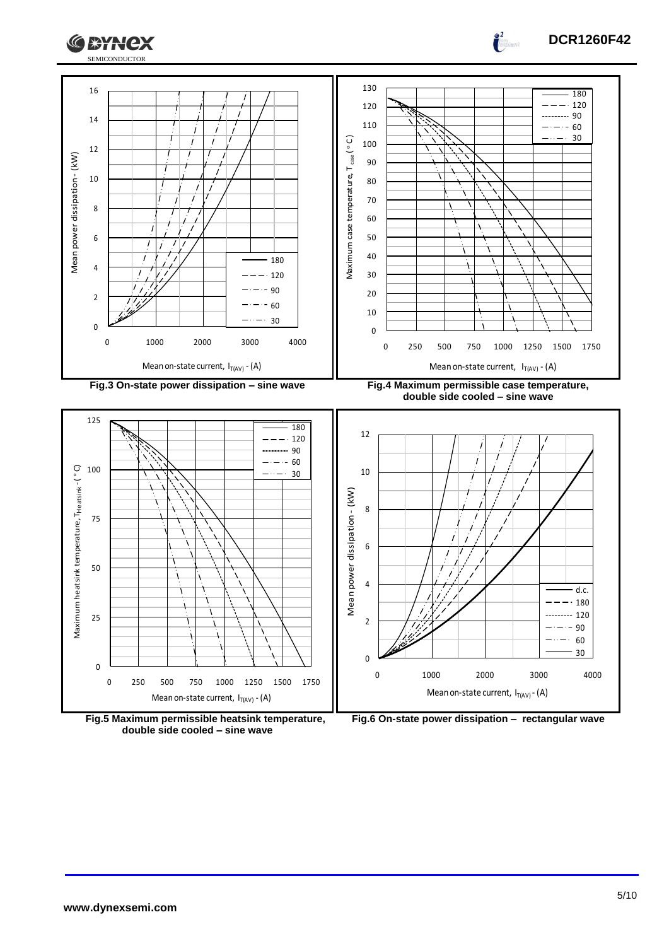



0

2

4

6



**Fig.5 Maximum permissible heatsink temperature, double side cooled – sine wave**



 $\prime$ 

0 1000 2000 3000 4000

Mean on-state current,  $I_{T(AV)}$ -(A)

 $\frac{2}{\pi}$ 

d.c. 180 120<br>90<br>60  $\frac{90}{60}$  $rac{60}{30}$ 

 $\overline{a}$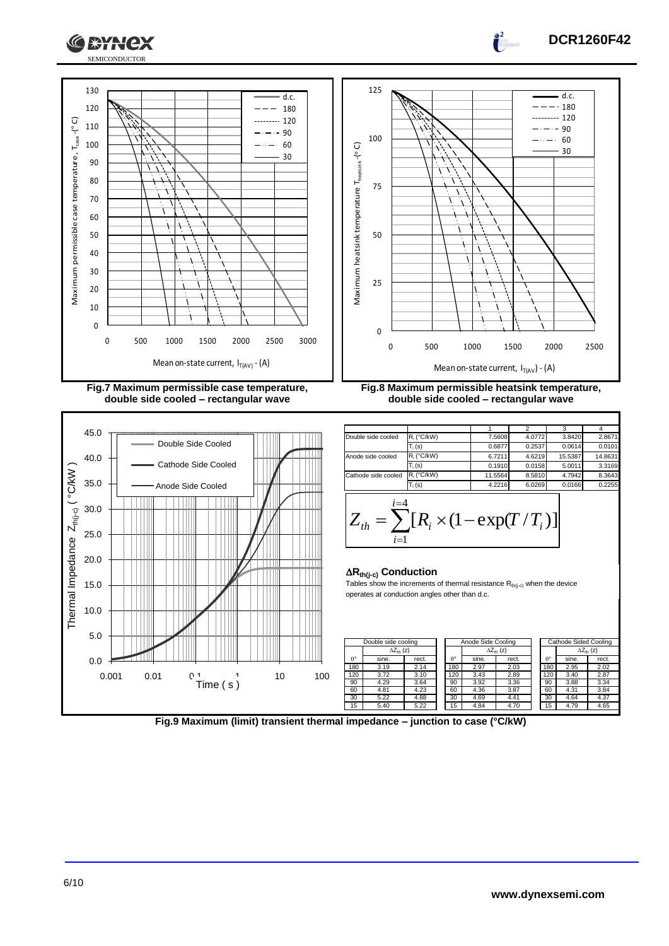



 $\int_0^2$ a<br>Geografia







**Fig.8 Maximum permissible heatsink temperature, double side cooled – rectangular wave**

|                     |               |         | 2      | 3       |         |
|---------------------|---------------|---------|--------|---------|---------|
| Double side cooled  | $R_i$ (°C/kW) | 7.5608  | 4.0772 | 3.8420  | 2.8671  |
|                     | $T_i(s)$      | 0.6877  | 0.2537 | 0.0614  | 0.0101  |
| Anode side cooled   | $R_i$ (°C/kW) | 6.7211  | 4.6219 | 15.5387 | 14.8631 |
|                     | $T_i(s)$      | 0.1910  | 0.0158 | 5.0011  | 3.3169  |
| Cathode side cooled | $R_i$ (°C/kW) | 11.5564 | 8.5810 | 4.7942  | 8.3643  |
|                     | $T_i(s)$      | 4.2216  | 6.0269 | 0.0166  | 0.2255  |
| i=4                 |               |         |        |         |         |

$$
Z_{th} = \sum_{i=1}^{l-1} [R_i \times (1 - \exp(T/T_i))]
$$

#### **Rth(j-c) Conduction**

Tables show the increments of thermal resistance  $R_{th(j-c)}$  when the device operates at conduction angles other than d.c.

|                  | Double side cooling |       |  | Anode Side Cooling |                     |       |  | Cathode Sided Cooling |                     |       |
|------------------|---------------------|-------|--|--------------------|---------------------|-------|--|-----------------------|---------------------|-------|
|                  | $\Delta Z_{th}$ (z) |       |  |                    | $\Delta Z_{th}$ (z) |       |  |                       | $\Delta Z_{th}$ (z) |       |
| $\theta^{\circ}$ | sine.               | rect. |  | $\theta^{\circ}$   | sine.               | rect. |  | $\theta^{\circ}$      | sine.               | rect. |
| 180              | 3.19                | 2.14  |  | 180                | 2.97                | 2.03  |  | 180                   | 2.95                | 2.02  |
| 120              | 3.72                | 3.10  |  | 120                | 3.43                | 2.89  |  | 120                   | 3.40                | 2.87  |
| 90               | 4.29                | 3.64  |  | 90                 | 3.92                | 3.36  |  | 90                    | 3.88                | 3.34  |
| 60               | 4.81                | 4.23  |  | 60                 | 4.36                | 3.87  |  | 60                    | 4.31                | 3.84  |
| 30               | 5.22                | 4.88  |  | 30                 | 4.69                | 4.41  |  | 30                    | 4.64                | 4.37  |
| 15               | 5.40                | 5.22  |  | 15                 | 4.84                | 4.70  |  | 15                    | 4.79                | 4.65  |

**Fig.9 Maximum (limit) transient thermal impedance – junction to case (°C/kW)**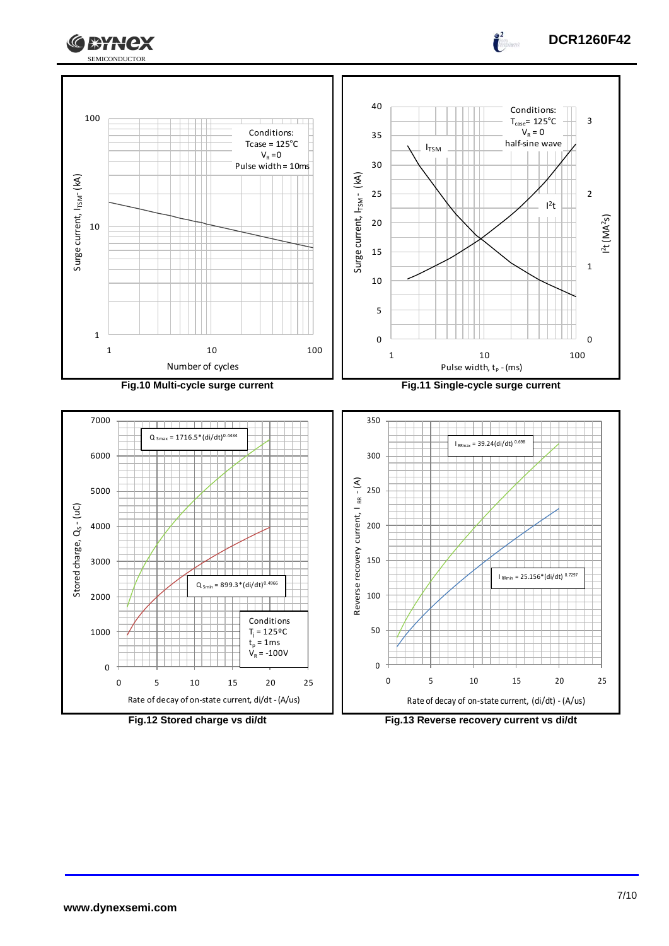



Rate of decay of on-state current, di/dt -(A/us)

**Fig.12 Stored charge vs di/dt Fig.13 Reverse recovery current vs di/dt**

Rate of decay of on-state current, (di/dt) - (A/us)

**DCR1260F42**

 $\frac{2}{\pi}$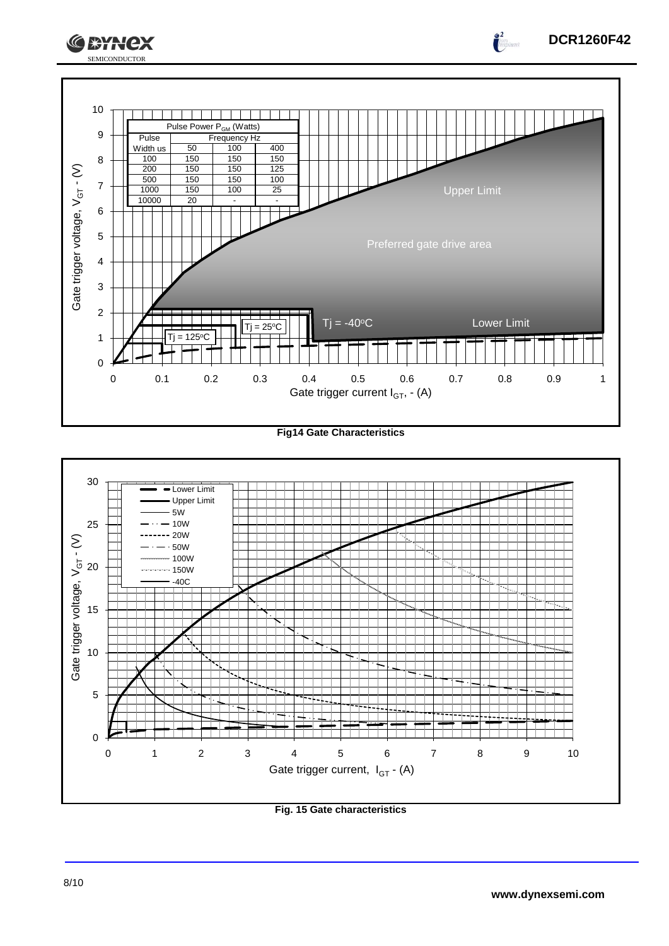

**Fig14 Gate Characteristics**



**Fig. 15 Gate characteristics**

**DCR1260F42**

 $\int_{0}^{\infty}$ 

**CEYNEX**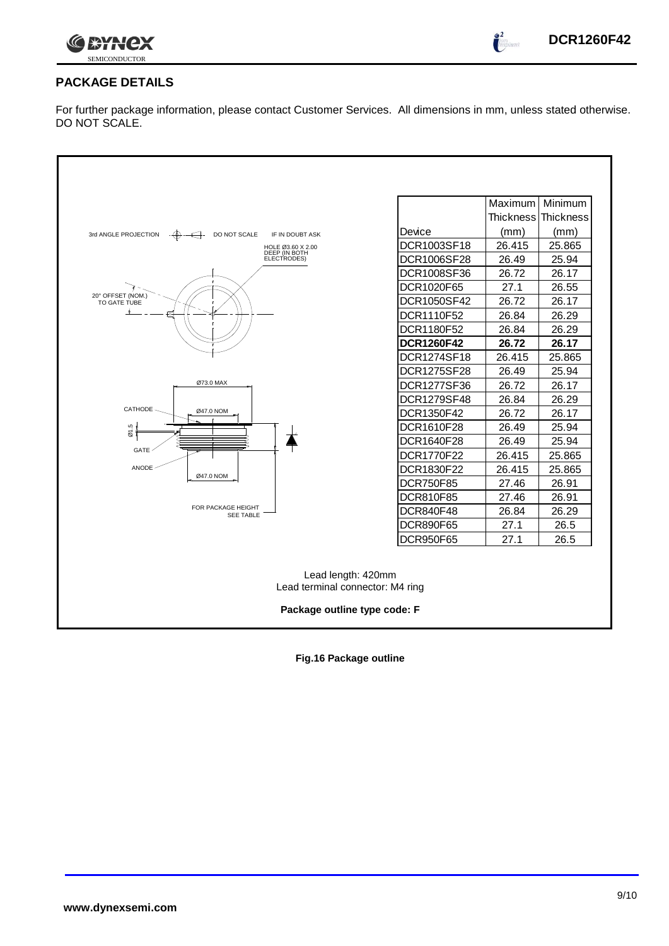

 $\int_{0}^{\infty}$ 

### **PACKAGE DETAILS**

For further package information, please contact Customer Services. All dimensions in mm, unless stated otherwise. DO NOT SCALE.

|                                                                                        |                    | Maximum   Minimum |                     |  |  |  |
|----------------------------------------------------------------------------------------|--------------------|-------------------|---------------------|--|--|--|
|                                                                                        |                    |                   | Thickness Thickness |  |  |  |
| IF IN DOUBT ASK<br>3rd ANGLE PROJECTION<br>$-\bigoplus -\bigoplus -$<br>DO NOT SCALE   | Device             | (mm)              | (mm)                |  |  |  |
| HOLE Ø3.60 X 2.00<br>DEEP (IN BOTH                                                     | DCR1003SF18        | 26.415            | 25.865              |  |  |  |
| ELECTRODES)                                                                            | DCR1006SF28        | 26.49             | 25.94               |  |  |  |
|                                                                                        | DCR1008SF36        | 26.72             | 26.17               |  |  |  |
| 20° OFFSET (NOM.)                                                                      | DCR1020F65         | 27.1              | 26.55               |  |  |  |
| TO GATE TUBE                                                                           | DCR1050SF42        | 26.72             | 26.17               |  |  |  |
|                                                                                        | DCR1110F52         | 26.84             | 26.29               |  |  |  |
|                                                                                        | DCR1180F52         | 26.84             | 26.29               |  |  |  |
|                                                                                        | <b>DCR1260F42</b>  | 26.72             | 26.17               |  |  |  |
|                                                                                        | DCR1274SF18        | 26.415            | 25.865              |  |  |  |
|                                                                                        | <b>DCR1275SF28</b> | 26.49             | 25.94               |  |  |  |
| Ø73.0 MAX                                                                              | DCR1277SF36        | 26.72             | 26.17               |  |  |  |
|                                                                                        | DCR1279SF48        | 26.84             | 26.29               |  |  |  |
| CATHODE<br>Ø47.0 NOM                                                                   | DCR1350F42         | 26.72             | 26.17               |  |  |  |
| 01.5                                                                                   | DCR1610F28         | 26.49             | 25.94               |  |  |  |
|                                                                                        | DCR1640F28         | 26.49             | 25.94               |  |  |  |
| GATE                                                                                   | DCR1770F22         | 26.415            | 25.865              |  |  |  |
| <b>ANODE</b><br>Ø47.0 NOM                                                              | DCR1830F22         | 26.415            | 25.865              |  |  |  |
|                                                                                        | <b>DCR750F85</b>   | 27.46             | 26.91               |  |  |  |
|                                                                                        | DCR810F85          | 27.46             | 26.91               |  |  |  |
| FOR PACKAGE HEIGHT<br><b>SEE TABLE</b>                                                 | DCR840F48          | 26.84             | 26.29               |  |  |  |
|                                                                                        | <b>DCR890F65</b>   | 27.1              | 26.5                |  |  |  |
|                                                                                        | <b>DCR950F65</b>   | 27.1              | 26.5                |  |  |  |
| Lead length: 420mm<br>Lead terminal connector: M4 ring<br>Package outline type code: F |                    |                   |                     |  |  |  |

**Fig.16 Package outline**